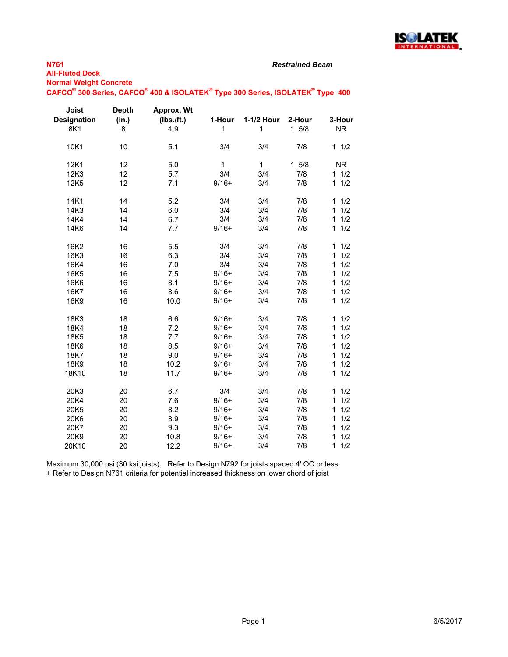

*Restrained Beam*

**Normal Weight Concrete**

### $\mathsf{CAFCO}^\circ$  300 Series,  $\mathsf{CAFCO}^\circ$  400 & ISOLATEK $^\circ$  Type 300 Series, ISOLATEK $^\circ$  Type 400

| Joist<br><b>Designation</b><br>8K1 | <b>Depth</b><br>(in.)<br>8 | Approx. Wt<br>(Ibs./ft.)<br>4.9 | 1-Hour<br>1 | 1-1/2 Hour<br>$\mathbf{1}$ | 2-Hour<br>$1 \t5/8$ | 3-Hour<br><b>NR</b> |
|------------------------------------|----------------------------|---------------------------------|-------------|----------------------------|---------------------|---------------------|
| 10K1                               | 10                         | 5.1                             | 3/4         | 3/4                        | 7/8                 | 11/2                |
| 12K1                               | 12                         | 5.0                             | 1           | $\mathbf{1}$               | $1 \t5/8$           | NR.                 |
| 12K3                               | 12                         | 5.7                             | 3/4         | 3/4                        | 7/8                 | 11/2                |
| 12K5                               | 12                         | 7.1                             | $9/16+$     | 3/4                        | 7/8                 | 11/2                |
| 14K1                               | 14                         | 5.2                             | 3/4         | 3/4                        | 7/8                 | 11/2                |
| 14K3                               | 14                         | 6.0                             | 3/4         | 3/4                        | 7/8                 | 1/2<br>$\mathbf{1}$ |
| 14K4                               | 14                         | 6.7                             | 3/4         | 3/4                        | 7/8                 | 1/2<br>$\mathbf{1}$ |
| 14K6                               | 14                         | 7.7                             | $9/16+$     | 3/4                        | 7/8                 | 1/2<br>$\mathbf{1}$ |
| 16K2                               | 16                         | 5.5                             | 3/4         | 3/4                        | 7/8                 | 1/2<br>$\mathbf{1}$ |
| 16K3                               | 16                         | 6.3                             | 3/4         | 3/4                        | 7/8                 | 1<br>1/2            |
| 16K4                               | 16                         | 7.0                             | 3/4         | 3/4                        | 7/8                 | 1/2<br>1            |
| 16K <sub>5</sub>                   | 16                         | 7.5                             | $9/16+$     | 3/4                        | 7/8                 | 1<br>1/2            |
| 16K6                               | 16                         | 8.1                             | $9/16+$     | 3/4                        | 7/8                 | 1<br>1/2            |
| 16K7                               | 16                         | 8.6                             | $9/16+$     | 3/4                        | 7/8                 | 1/2<br>1            |
| 16K9                               | 16                         | 10.0                            | $9/16+$     | 3/4                        | 7/8                 | $\mathbf{1}$<br>1/2 |
| 18K3                               | 18                         | 6.6                             | $9/16+$     | 3/4                        | 7/8                 | 1/2<br>1            |
| 18K4                               | 18                         | 7.2                             | $9/16+$     | 3/4                        | 7/8                 | 1/2<br>1            |
| 18K5                               | 18                         | 7.7                             | $9/16+$     | 3/4                        | 7/8                 | 1/2<br>1            |
| 18K6                               | 18                         | 8.5                             | $9/16+$     | 3/4                        | 7/8                 | 1<br>1/2            |
| 18K7                               | 18                         | 9.0                             | $9/16+$     | 3/4                        | 7/8                 | 1/2<br>$\mathbf{1}$ |
| 18K9                               | 18                         | 10.2                            | $9/16+$     | 3/4                        | 7/8                 | 1<br>1/2            |
| 18K10                              | 18                         | 11.7                            | $9/16+$     | 3/4                        | 7/8                 | $\mathbf{1}$<br>1/2 |
| 20K3                               | 20                         | 6.7                             | 3/4         | 3/4                        | 7/8                 | 1/2<br>$\mathbf{1}$ |
| 20K4                               | 20                         | 7.6                             | $9/16+$     | 3/4                        | 7/8                 | 1/2<br>$\mathbf{1}$ |
| 20K5                               | 20                         | 8.2                             | $9/16+$     | 3/4                        | 7/8                 | 1/2<br>1            |
| 20K6                               | 20                         | 8.9                             | $9/16+$     | 3/4                        | 7/8                 | 1/2<br>$\mathbf{1}$ |
| 20K7                               | 20                         | 9.3                             | $9/16+$     | 3/4                        | 7/8                 | 1/2<br>1            |
| 20K9                               | 20                         | 10.8                            | $9/16+$     | 3/4                        | 7/8                 | 1/2<br>$\mathbf{1}$ |
| 20K10                              | 20                         | 12.2                            | $9/16+$     | 3/4                        | 7/8                 | 1/2<br>$\mathbf{1}$ |

Maximum 30,000 psi (30 ksi joists). Refer to Design N792 for joists spaced 4' OC or less + Refer to Design N761 criteria for potential increased thickness on lower chord of joist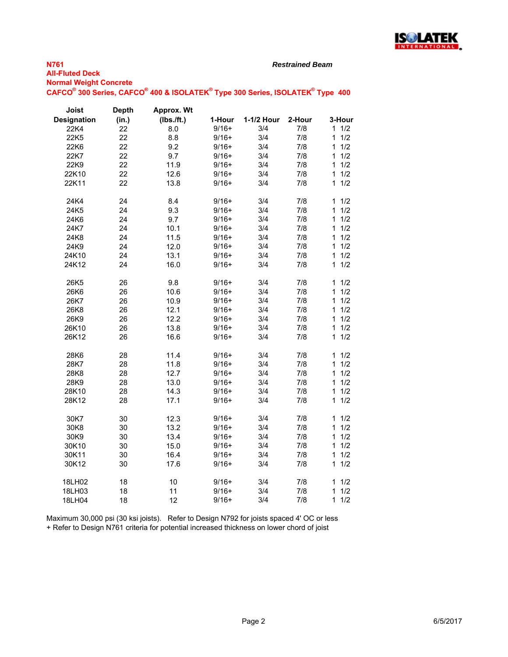

*Restrained Beam*

| <b>Normal Weight Concrete</b> |                                                                               |  |  |
|-------------------------------|-------------------------------------------------------------------------------|--|--|
|                               | CAFCO® 300 Series, CAFCO® 400 & ISOLATEK® Type 300 Series, ISOLATEK® Type 400 |  |  |

| Joist              | <b>Depth</b> | Approx. Wt |         |            |        |                     |
|--------------------|--------------|------------|---------|------------|--------|---------------------|
| <b>Designation</b> | (in.)        | (Ibs./ft.) | 1-Hour  | 1-1/2 Hour | 2-Hour | 3-Hour              |
| 22K4               | 22           | 8.0        | $9/16+$ | 3/4        | 7/8    | 11/2                |
| 22K5               | 22           | 8.8        | $9/16+$ | 3/4        | 7/8    | 1/2<br>$\mathbf{1}$ |
| 22K6               | 22           | 9.2        | $9/16+$ | 3/4        | 7/8    | $\mathbf{1}$<br>1/2 |
| 22K7               | 22           | 9.7        | $9/16+$ | 3/4        | 7/8    | 1/2<br>$\mathbf{1}$ |
| 22K9               | 22           | 11.9       | $9/16+$ | 3/4        | 7/8    | 1/2<br>$\mathbf{1}$ |
| 22K10              | 22           | 12.6       | $9/16+$ | 3/4        | 7/8    | 1/2<br>$\mathbf{1}$ |
| 22K11              | 22           | 13.8       | $9/16+$ | 3/4        | 7/8    | 1/2<br>1            |
| 24K4               | 24           | 8.4        | $9/16+$ | 3/4        | 7/8    | 1/2<br>1            |
| 24K5               | 24           | 9.3        | $9/16+$ | 3/4        | 7/8    | 1/2<br>1            |
| 24K6               | 24           | 9.7        | $9/16+$ | 3/4        | 7/8    | 1/2<br>1            |
| 24K7               | 24           | 10.1       | $9/16+$ | 3/4        | 7/8    | 1/2<br>$\mathbf{1}$ |
| 24K8               | 24           | 11.5       | $9/16+$ | 3/4        | 7/8    | 1/2<br>$\mathbf{1}$ |
| 24K9               | 24           | 12.0       | $9/16+$ | 3/4        | 7/8    | 1/2<br>1            |
| 24K10              | 24           | 13.1       | $9/16+$ | 3/4        | 7/8    | 1/2<br>1            |
| 24K12              | 24           | 16.0       | $9/16+$ | 3/4        | 7/8    | 1/2<br>$\mathbf{1}$ |
|                    |              |            |         |            |        |                     |
| 26K5               | 26           | 9.8        | $9/16+$ | 3/4        | 7/8    | 1/2<br>$\mathbf{1}$ |
| 26K6               | 26           | 10.6       | $9/16+$ | 3/4        | 7/8    | 1/2<br>$\mathbf{1}$ |
| 26K7               | 26           | 10.9       | $9/16+$ | 3/4        | 7/8    | 1/2<br>1            |
| 26K8               | 26           | 12.1       | $9/16+$ | 3/4        | 7/8    | 1/2<br>$\mathbf{1}$ |
| 26K9               | 26           | 12.2       | $9/16+$ | 3/4        | 7/8    | 1/2<br>$\mathbf{1}$ |
| 26K10              | 26           | 13.8       | $9/16+$ | 3/4        | 7/8    | $\mathbf{1}$<br>1/2 |
| 26K12              | 26           | 16.6       | $9/16+$ | 3/4        | 7/8    | 1/2<br>1            |
|                    |              |            |         |            |        |                     |
| 28K6               | 28           | 11.4       | $9/16+$ | 3/4        | 7/8    | 1/2<br>1            |
| 28K7               | 28           | 11.8       | $9/16+$ | 3/4        | 7/8    | 1/2<br>$\mathbf{1}$ |
| 28K8               | 28           | 12.7       | $9/16+$ | 3/4        | 7/8    | 1/2<br>1            |
| 28K9               | 28           | 13.0       | $9/16+$ | 3/4        | 7/8    | 1/2<br>$\mathbf{1}$ |
| 28K10              | 28           | 14.3       | $9/16+$ | 3/4        | 7/8    | 1/2<br>$\mathbf{1}$ |
| 28K12              | 28           | 17.1       | $9/16+$ | 3/4        | 7/8    | 1/2<br>1            |
| 30K7               | 30           | 12.3       | $9/16+$ | 3/4        | 7/8    | 1/2<br>$\mathbf{1}$ |
| 30K8               | 30           | 13.2       | $9/16+$ | 3/4        | 7/8    | $\mathbf{1}$<br>1/2 |
| 30K9               | 30           | 13.4       | $9/16+$ | 3/4        | 7/8    | 1/2<br>1            |
| 30K10              | 30           | 15.0       | $9/16+$ | 3/4        | 7/8    | 1/2<br>$\mathbf{1}$ |
| 30K11              | 30           | 16.4       | $9/16+$ | 3/4        | 7/8    | 1/2<br>$\mathbf{1}$ |
| 30K12              | 30           | 17.6       | $9/16+$ | 3/4        | 7/8    | 1/2<br>$\mathbf 1$  |
|                    |              |            |         |            |        |                     |
| 18LH02             | 18           | 10         | $9/16+$ | 3/4        | 7/8    | 1/2<br>$\mathbf{1}$ |
| 18LH03             | 18           | 11         | $9/16+$ | 3/4        | 7/8    | 1/2<br>1            |
| 18LH04             | 18           | 12         | $9/16+$ | 3/4        | 7/8    | 1<br>1/2            |

Maximum 30,000 psi (30 ksi joists). Refer to Design N792 for joists spaced 4' OC or less + Refer to Design N761 criteria for potential increased thickness on lower chord of joist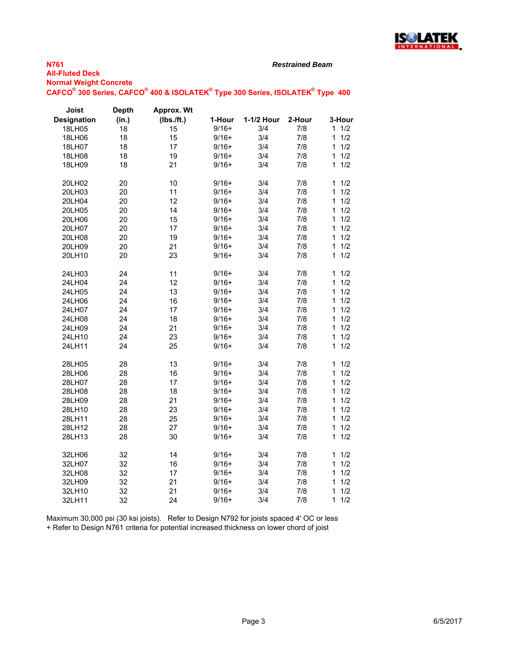

*Restrained Beam*

**Normal Weight Concrete**

 $\mathsf{CAFCO}^\circ$  300 Series,  $\mathsf{CAFCO}^\circ$  400 & ISOLATEK $^\circ$  Type 300 Series, ISOLATEK $^\circ$  Type 400

| Joist              | <b>Depth</b> | Approx. Wt |         |            |        |                     |
|--------------------|--------------|------------|---------|------------|--------|---------------------|
| <b>Designation</b> | (in.)        | (Ibs./ft.) | 1-Hour  | 1-1/2 Hour | 2-Hour | 3-Hour              |
| 18LH05             | 18           | 15         | $9/16+$ | 3/4        | 7/8    | 1/2<br>1            |
| 18LH06             | 18           | 15         | $9/16+$ | 3/4        | 7/8    | 1/2<br>1            |
| 18LH07             | 18           | 17         | $9/16+$ | 3/4        | 7/8    | 1/2<br>1            |
| 18LH08             | 18           | 19         | $9/16+$ | 3/4        | 7/8    | 1<br>1/2            |
| 18LH09             | 18           | 21         | $9/16+$ | 3/4        | 7/8    | 1/2<br>1            |
| 20LH02             | 20           | 10         | $9/16+$ | 3/4        | 7/8    | 1/2<br>1            |
| 20LH03             | 20           | 11         | $9/16+$ | 3/4        | 7/8    | 1<br>1/2            |
| 20LH04             | 20           | 12         | $9/16+$ | 3/4        | 7/8    | 1/2<br>$\mathbf{1}$ |
| 20LH05             | 20           | 14         | $9/16+$ | 3/4        | 7/8    | 1<br>1/2            |
| 20LH06             | 20           | 15         | $9/16+$ | 3/4        | 7/8    | 1/2<br>1            |
| 20LH07             | 20           | 17         | $9/16+$ | 3/4        | 7/8    | 1<br>1/2            |
| 20LH08             | 20           | 19         | $9/16+$ | 3/4        | 7/8    | 1/2<br>$\mathbf{1}$ |
| 20LH09             | 20           | 21         | $9/16+$ | 3/4        | 7/8    | 1<br>1/2            |
| 20LH10             | 20           | 23         | $9/16+$ | 3/4        | 7/8    | 1/2<br>1            |
| 24LH03             | 24           | 11         | $9/16+$ | 3/4        | 7/8    | 1/2<br>1            |
| 24LH04             | 24           | 12         | $9/16+$ | 3/4        | 7/8    | 1/2<br>1            |
| 24LH05             | 24           | 13         | $9/16+$ | 3/4        | 7/8    | 1/2<br>1            |
| 24LH06             | 24           | 16         | $9/16+$ | 3/4        | 7/8    | 1/2<br>$\mathbf{1}$ |
| 24LH07             | 24           | 17         | $9/16+$ | 3/4        | 7/8    | 1/2<br>1            |
| 24LH08             | 24           | 18         | $9/16+$ | 3/4        | 7/8    | $\mathbf{1}$<br>1/2 |
| 24LH09             | 24           | 21         | $9/16+$ | 3/4        | 7/8    | 1/2<br>$\mathbf{1}$ |
| 24LH10             | 24           | 23         | $9/16+$ | 3/4        | 7/8    | 1<br>1/2            |
| 24LH11             | 24           | 25         | $9/16+$ | 3/4        | 7/8    | 1/2<br>1            |
| 28LH05             | 28           | 13         | $9/16+$ | 3/4        | 7/8    | 1/2<br>$\mathbf{1}$ |
| 28LH06             | 28           | 16         | $9/16+$ | 3/4        | 7/8    | 1<br>1/2            |
| 28LH07             | 28           | 17         | $9/16+$ | 3/4        | 7/8    | 1<br>1/2            |
| 28LH08             | 28           | 18         | $9/16+$ | 3/4        | 7/8    | $\mathbf{1}$<br>1/2 |
| 28LH09             | 28           | 21         | $9/16+$ | 3/4        | 7/8    | 1<br>1/2            |
| 28LH10             | 28           | 23         | $9/16+$ | 3/4        | 7/8    | 1/2<br>1            |
| 28LH11             | 28           | 25         | $9/16+$ | 3/4        | 7/8    | 1/2<br>1            |
| 28LH12             | 28           | 27         | $9/16+$ | 3/4        | 7/8    | 1<br>1/2            |
| 28LH13             | 28           | 30         | $9/16+$ | 3/4        | 7/8    | 1/2<br>1            |
| 32LH06             | 32           | 14         | $9/16+$ | 3/4        | 7/8    | $\mathbf{1}$<br>1/2 |
| 32LH07             | 32           | 16         | $9/16+$ | 3/4        | 7/8    | 1/2<br>1            |
| 32LH08             | 32           | 17         | $9/16+$ | 3/4        | 7/8    | 1<br>1/2            |
| 32LH09             | 32           | 21         | $9/16+$ | 3/4        | 7/8    | 1/2<br>1            |
| 32LH10             | 32           | 21         | $9/16+$ | 3/4        | 7/8    | 1/2<br>1            |
| 32LH11             | 32           | 24         | $9/16+$ | 3/4        | 7/8    | 1<br>1/2            |

Maximum 30,000 psi (30 ksi joists). Refer to Design N792 for joists spaced 4' OC or less + Refer to Design N761 criteria for potential increased thickness on lower chord of joist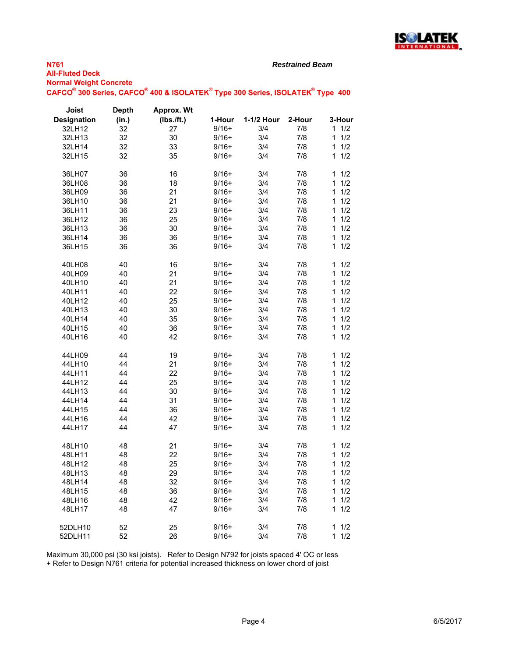

*Restrained Beam*

**Normal Weight Concrete**  $\mathsf{CAFCO}^\circ$  300 Series,  $\mathsf{CAFCO}^\circ$  400 & ISOLATEK $^\circ$  Type 300 Series, ISOLATEK $^\circ$  Type 400

| <b>Joist</b>       | <b>Depth</b> | <b>Approx. Wt</b> |         |            |        |          |
|--------------------|--------------|-------------------|---------|------------|--------|----------|
| <b>Designation</b> | (in.)        | (Ibs./ft.)        | 1-Hour  | 1-1/2 Hour | 2-Hour | 3-Hour   |
| 32LH12             | 32           | 27                | $9/16+$ | 3/4        | 7/8    | 11/2     |
| 32LH13             | 32           | 30                | $9/16+$ | 3/4        | 7/8    | 1<br>1/2 |
| 32LH14             | 32           | 33                | $9/16+$ | 3/4        | 7/8    | 1/2<br>1 |
| 32LH15             | 32           | 35                | $9/16+$ | 3/4        | 7/8    | 1<br>1/2 |
|                    |              |                   |         |            |        |          |
| 36LH07             | 36           | 16                | $9/16+$ | 3/4        | 7/8    | 1<br>1/2 |
| 36LH08             | 36           | 18                | $9/16+$ | 3/4        | 7/8    | 1/2<br>1 |
| 36LH09             | 36           | 21                | $9/16+$ | 3/4        | 7/8    | 1<br>1/2 |
| 36LH10             | 36           | 21                | $9/16+$ | 3/4        | 7/8    | 1<br>1/2 |
| 36LH11             | 36           | 23                | $9/16+$ | 3/4        | 7/8    | 1<br>1/2 |
| 36LH12             | 36           | 25                | $9/16+$ | 3/4        | 7/8    | 1/2<br>1 |
| 36LH13             | 36           | 30                | $9/16+$ | 3/4        | 7/8    | 1<br>1/2 |
| 36LH14             | 36           | 36                | $9/16+$ | 3/4        | 7/8    | 1<br>1/2 |
| 36LH15             | 36           | 36                | $9/16+$ | 3/4        | 7/8    | 1/2<br>1 |
|                    |              |                   |         |            |        |          |
|                    |              |                   | $9/16+$ | 3/4        | 7/8    | 1<br>1/2 |
| 40LH08             | 40           | 16                | $9/16+$ | 3/4        |        |          |
| 40LH09             | 40           | 21                |         |            | 7/8    | 1<br>1/2 |
| 40LH10             | 40           | 21                | 9/16+   | 3/4        | 7/8    | 1<br>1/2 |
| 40LH11             | 40           | 22                | $9/16+$ | 3/4        | 7/8    | 1/2<br>1 |
| 40LH12             | 40           | 25                | $9/16+$ | 3/4        | 7/8    | 1<br>1/2 |
| 40LH13             | 40           | 30                | $9/16+$ | 3/4        | 7/8    | 1<br>1/2 |
| 40LH14             | 40           | 35                | $9/16+$ | 3/4        | 7/8    | 1/2<br>1 |
| 40LH15             | 40           | 36                | $9/16+$ | 3/4        | 7/8    | 1/2<br>1 |
| 40LH16             | 40           | 42                | $9/16+$ | 3/4        | 7/8    | 1/2<br>1 |
|                    |              |                   |         |            |        |          |
| 44LH09             | 44           | 19                | $9/16+$ | 3/4        | 7/8    | 1/2<br>1 |
| 44LH10             | 44           | 21                | $9/16+$ | 3/4        | 7/8    | 1<br>1/2 |
| 44LH11             | 44           | 22                | $9/16+$ | 3/4        | 7/8    | 1<br>1/2 |
| 44LH12             | 44           | 25                | $9/16+$ | 3/4        | 7/8    | 1<br>1/2 |
| 44LH13             | 44           | 30                | $9/16+$ | 3/4        | 7/8    | 1/2<br>1 |
| 44LH14             | 44           | 31                | $9/16+$ | 3/4        | 7/8    | 1/2<br>1 |
| 44LH15             | 44           | 36                | $9/16+$ | 3/4        | 7/8    | 1/2<br>1 |
| 44LH16             | 44           | 42                | $9/16+$ | 3/4        | 7/8    | 1<br>1/2 |
| 44LH17             | 44           | 47                | $9/16+$ | 3/4        | 7/8    | 1<br>1/2 |
|                    |              |                   |         |            |        |          |
| 48LH10             | 48           | 21                | $9/16+$ | 3/4        | 7/8    | 1<br>1/2 |
| 48LH11             | 48           | 22                | $9/16+$ | 3/4        | 7/8    | 1<br>1/2 |
| 48LH12             | 48           | 25                | $9/16+$ | 3/4        | 7/8    | 1/2<br>1 |
| 48LH13             | 48           | 29                | $9/16+$ | 3/4        | 7/8    | 1/2<br>1 |
| 48LH14             | 48           | 32                | $9/16+$ | 3/4        | 7/8    | 1<br>1/2 |
| 48LH15             | 48           | 36                | $9/16+$ | 3/4        | 7/8    | 1/2<br>1 |
| 48LH16             | 48           | 42                | $9/16+$ | 3/4        | 7/8    | 1<br>1/2 |
| 48LH17             | 48           | 47                | $9/16+$ | 3/4        | 7/8    | 1<br>1/2 |
|                    |              |                   |         |            |        |          |
| 52DLH10            | 52           | 25                | $9/16+$ | 3/4        | 7/8    | 1<br>1/2 |
| 52DLH11            | 52           | 26                | $9/16+$ | 3/4        | 7/8    | 1/2<br>1 |
|                    |              |                   |         |            |        |          |

Maximum 30,000 psi (30 ksi joists). Refer to Design N792 for joists spaced 4' OC or less

+ Refer to Design N761 criteria for potential increased thickness on lower chord of joist